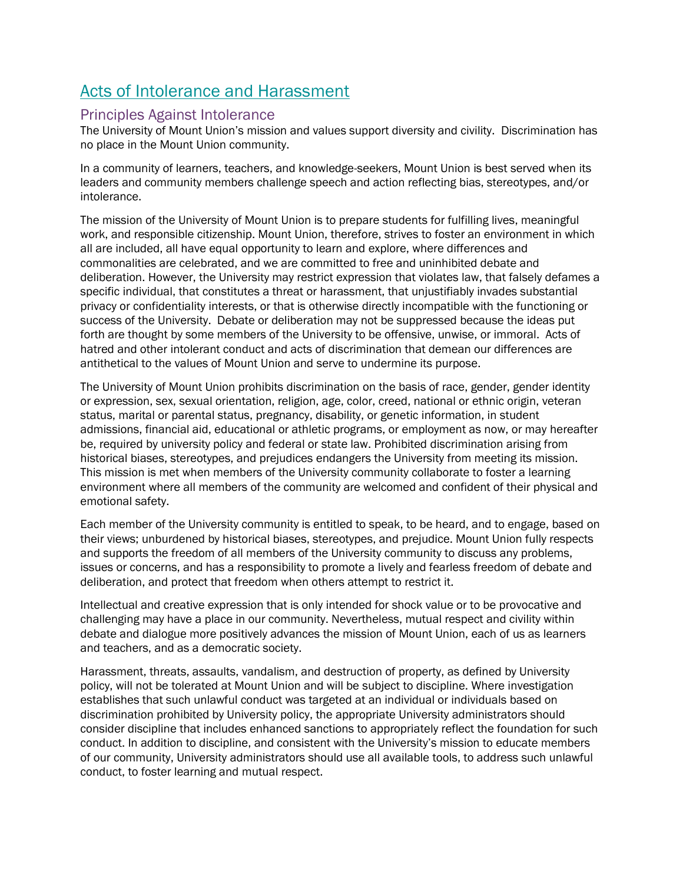## Acts of Intolerance and Harassment

## Principles Against Intolerance

The University of Mount Union's mission and values support diversity and civility. Discrimination has no place in the Mount Union community.

In a community of learners, teachers, and knowledge-seekers, Mount Union is best served when its leaders and community members challenge speech and action reflecting bias, stereotypes, and/or intolerance.

The mission of the University of Mount Union is to prepare students for fulfilling lives, meaningful work, and responsible citizenship. Mount Union, therefore, strives to foster an environment in which all are included, all have equal opportunity to learn and explore, where differences and commonalities are celebrated, and we are committed to free and uninhibited debate and deliberation. However, the University may restrict expression that violates law, that falsely defames a specific individual, that constitutes a threat or harassment, that unjustifiably invades substantial privacy or confidentiality interests, or that is otherwise directly incompatible with the functioning or success of the University. Debate or deliberation may not be suppressed because the ideas put forth are thought by some members of the University to be offensive, unwise, or immoral. Acts of hatred and other intolerant conduct and acts of discrimination that demean our differences are antithetical to the values of Mount Union and serve to undermine its purpose.

The University of Mount Union prohibits discrimination on the basis of race, gender, gender identity or expression, sex, sexual orientation, religion, age, color, creed, national or ethnic origin, veteran status, marital or parental status, pregnancy, disability, or genetic information, in student admissions, financial aid, educational or athletic programs, or employment as now, or may hereafter be, required by university policy and federal or state law. Prohibited discrimination arising from historical biases, stereotypes, and prejudices endangers the University from meeting its mission. This mission is met when members of the University community collaborate to foster a learning environment where all members of the community are welcomed and confident of their physical and emotional safety.

Each member of the University community is entitled to speak, to be heard, and to engage, based on their views; unburdened by historical biases, stereotypes, and prejudice. Mount Union fully respects and supports the freedom of all members of the University community to discuss any problems, issues or concerns, and has a responsibility to promote a lively and fearless freedom of debate and deliberation, and protect that freedom when others attempt to restrict it.

Intellectual and creative expression that is only intended for shock value or to be provocative and challenging may have a place in our community. Nevertheless, mutual respect and civility within debate and dialogue more positively advances the mission of Mount Union, each of us as learners and teachers, and as a democratic society.

Harassment, threats, assaults, vandalism, and destruction of property, as defined by University policy, will not be tolerated at Mount Union and will be subject to discipline. Where investigation establishes that such unlawful conduct was targeted at an individual or individuals based on discrimination prohibited by University policy, the appropriate University administrators should consider discipline that includes enhanced sanctions to appropriately reflect the foundation for such conduct. In addition to discipline, and consistent with the University's mission to educate members of our community, University administrators should use all available tools, to address such unlawful conduct, to foster learning and mutual respect.